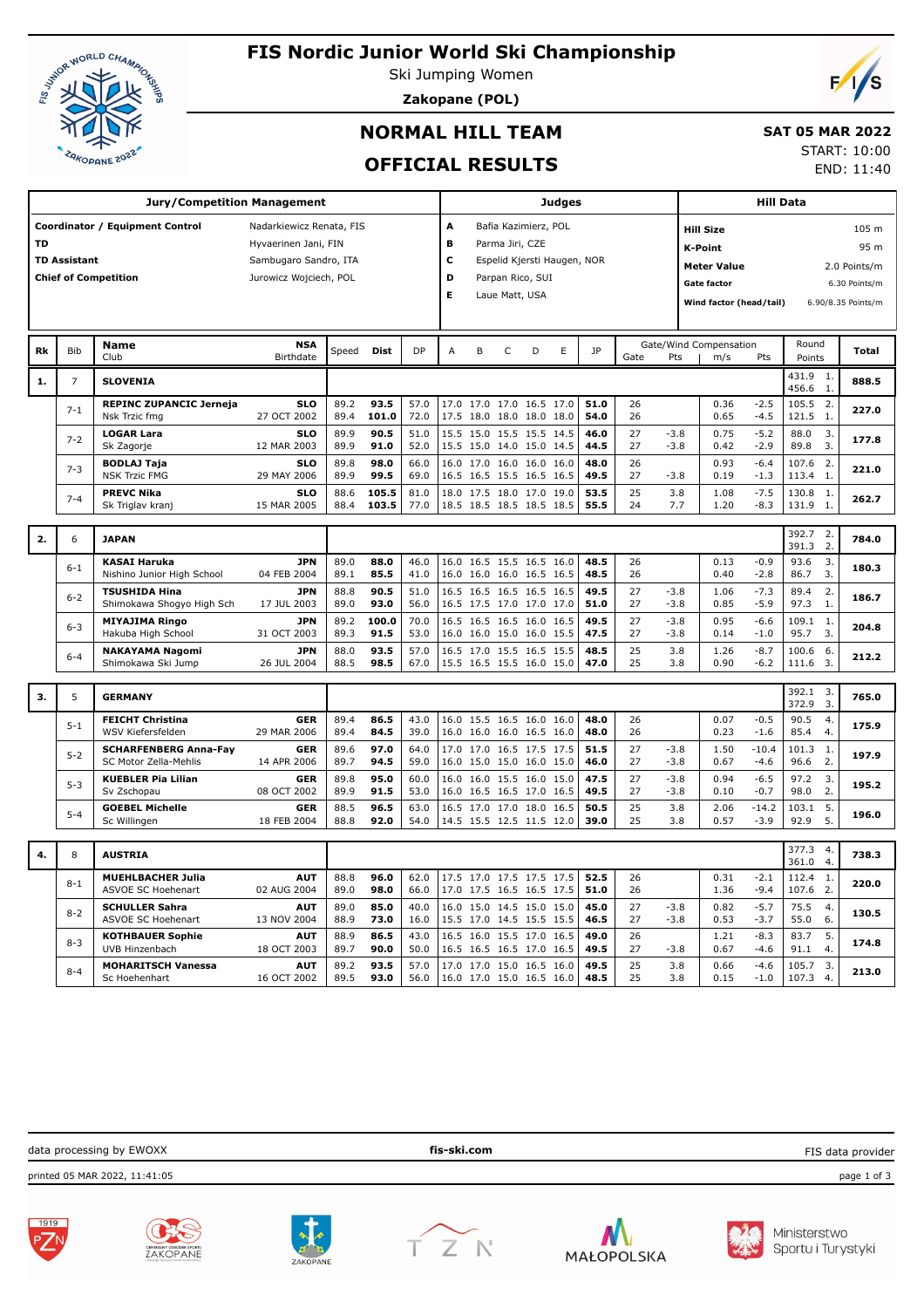

# **FIS Nordic Junior World Ski Championship**

Ski Jumping Women

**Zakopane (POL)**

## **NORMAL HILL TEAM**

#### **SAT 05 MAR 2022**

**OFFICIAL RESULTS**

START: 10:00 END: 11:40

 $\sqrt{2}$ 

| <b>Jury/Competition Management</b>                          |                |                                                       |                           |              |                      |              |                                  |                |                |                                                 | <b>Judges</b> |              |                | <b>Hill Data</b> |                                    |                   |                   |                         |                    |  |
|-------------------------------------------------------------|----------------|-------------------------------------------------------|---------------------------|--------------|----------------------|--------------|----------------------------------|----------------|----------------|-------------------------------------------------|---------------|--------------|----------------|------------------|------------------------------------|-------------------|-------------------|-------------------------|--------------------|--|
| Coordinator / Equipment Control<br>Nadarkiewicz Renata, FIS |                |                                                       |                           |              |                      |              |                                  |                |                | Bafia Kazimierz, POL                            |               |              |                |                  | <b>Hill Size</b>                   |                   | 105 m             |                         |                    |  |
| тD<br>Hyvaerinen Jani, FIN                                  |                |                                                       |                           |              | в<br>Parma Jiri, CZE |              |                                  |                |                |                                                 |               |              | <b>K-Point</b> |                  |                                    |                   | 95 m              |                         |                    |  |
| <b>TD Assistant</b><br>Sambugaro Sandro, ITA                |                |                                                       |                           |              |                      |              | c<br>Espelid Kjersti Haugen, NOR |                |                |                                                 |               |              |                |                  | <b>Meter Value</b><br>2.0 Points/m |                   |                   |                         |                    |  |
|                                                             |                | <b>Chief of Competition</b>                           | Jurowicz Wojciech, POL    |              |                      |              | D                                |                |                | Parpan Rico, SUI                                |               |              |                |                  | <b>Gate factor</b>                 |                   |                   |                         | 6.30 Points/m      |  |
|                                                             |                |                                                       |                           |              |                      |              | Е                                |                | Laue Matt, USA |                                                 |               |              |                |                  |                                    |                   |                   |                         |                    |  |
|                                                             |                |                                                       |                           |              |                      |              |                                  |                |                |                                                 |               |              |                |                  | Wind factor (head/tail)            |                   |                   |                         | 6.90/8.35 Points/m |  |
|                                                             |                | <b>Name</b>                                           | <b>NSA</b>                |              |                      |              |                                  |                |                |                                                 |               |              |                |                  | Gate/Wind Compensation             |                   | Round             |                         |                    |  |
| <b>Rk</b>                                                   | <b>Bib</b>     | Club                                                  | Birthdate                 | Speed        | <b>Dist</b>          | DP           | A                                | B              | $\mathsf C$    | D                                               | E             | <b>JP</b>    | Gate           | Pts              | m/s                                | Pts               | Points            |                         | <b>Total</b>       |  |
| 1.                                                          | $\overline{7}$ | <b>SLOVENIA</b>                                       |                           |              |                      |              |                                  |                |                |                                                 |               |              |                |                  |                                    |                   | 431.9<br>456.6    | -1.<br>1.               | 888.5              |  |
|                                                             | $7 - 1$        | <b>REPINC ZUPANCIC Jerneja</b><br>Nsk Trzic fmg       | <b>SLO</b><br>27 OCT 2002 | 89.2<br>89.4 | 93.5<br>101.0        | 57.0<br>72.0 | 17.0<br>17.5                     |                |                | 17.0 17.0 16.5 17.0<br>18.0 18.0 18.0 18.0      |               | 51.0<br>54.0 | 26<br>26       |                  | 0.36<br>0.65                       | $-2.5$<br>$-4.5$  | 105.5<br>121.5    | 2.<br>1.                | 227.0              |  |
|                                                             |                | <b>LOGAR Lara</b>                                     | <b>SLO</b>                | 89.9         | 90.5                 | 51.0         | 15.5                             |                |                | 15.0 15.5 15.5 14.5                             |               | 46.0         | 27             | $-3.8$           | 0.75                               | $-5.2$            | 88.0              | 3.                      |                    |  |
|                                                             | $7 - 2$        | Sk Zagorje                                            | 12 MAR 2003               | 89.9         | 91.0                 | 52.0         | 15.5                             |                |                | 15.0 14.0 15.0 14.5                             |               | 44.5         | 27             | $-3.8$           | 0.42                               | $-2.9$            | 89.8              | 3.                      | 177.8              |  |
|                                                             | $7 - 3$        | <b>BODLAJ Taja</b>                                    | <b>SLO</b>                | 89.8         | 98.0                 | 66.0         | 16.0                             |                |                | 17.0 16.0 16.0 16.0                             |               | 48.0         | 26             |                  | 0.93                               | $-6.4$            | 107.6             | 2.                      | 221.0              |  |
|                                                             |                | <b>NSK Trzic FMG</b><br><b>PREVC Nika</b>             | 29 MAY 2006<br><b>SLO</b> | 89.9<br>88.6 | 99.5<br>105.5        | 69.0<br>81.0 | 16.5<br>18.0                     |                |                | 16.5 15.5 16.5 16.5<br>17.5 18.0 17.0 19.0      |               | 49.5<br>53.5 | 27<br>25       | $-3.8$<br>3.8    | 0.19<br>1.08                       | $-1.3$<br>$-7.5$  | 113.4<br>130.8    | 1.<br>-1.               |                    |  |
|                                                             | $7 - 4$        | Sk Triglav kranj                                      | 15 MAR 2005               | 88.4         | 103.5                | 77.0         |                                  |                |                | 18.5 18.5 18.5 18.5 18.5                        |               | 55.5         | 24             | 7.7              | 1.20                               | $-8.3$            | 131.9             | 1.                      | 262.7              |  |
|                                                             |                |                                                       |                           |              |                      |              |                                  |                |                |                                                 |               |              |                |                  |                                    |                   |                   |                         |                    |  |
| 2.                                                          | 6              | <b>JAPAN</b>                                          |                           |              |                      |              |                                  |                |                |                                                 |               |              |                |                  |                                    |                   | 392.7<br>391.3    | 2.<br>2.                | 784.0              |  |
|                                                             | $6 - 1$        | <b>KASAI Haruka</b><br>Nishino Junior High School     | <b>JPN</b><br>04 FEB 2004 | 89.0<br>89.1 | 88.0<br>85.5         | 46.0<br>41.0 | 16.0<br>16.0                     |                |                | 16.5 15.5 16.5 16.0<br>16.0 16.0 16.5 16.5      |               | 48.5<br>48.5 | 26<br>26       |                  | 0.13<br>0.40                       | $-0.9$<br>$-2.8$  | 93.6<br>86.7      | 3.<br>3.                | 180.3              |  |
|                                                             |                | <b>TSUSHIDA Hina</b>                                  | <b>JPN</b>                | 88.8         | 90.5                 | 51.0         | 16.5                             |                |                | 16.5 16.5 16.5 16.5                             |               | 49.5         | 27             | $-3.8$           | 1.06                               | $-7.3$            | 89.4              | 2.                      |                    |  |
|                                                             | $6 - 2$        | Shimokawa Shogyo High Sch                             | 17 JUL 2003               | 89.0         | 93.0                 | 56.0         | 16.5                             |                |                | 17.5 17.0 17.0 17.0                             |               | 51.0         | 27             | $-3.8$           | 0.85                               | $-5.9$            | 97.3              | 1.                      | 186.7              |  |
|                                                             | $6 - 3$        | <b>MIYAJIMA Ringo</b>                                 | <b>JPN</b>                | 89.2         | 100.0                | 70.0         | 16.5                             |                |                | 16.5 16.5 16.0 16.5                             |               | 49.5         | 27             | $-3.8$           | 0.95                               | $-6.6$            | 109.1             | 1.                      | 204.8              |  |
|                                                             |                | Hakuba High School                                    | 31 OCT 2003               | 89.3         | 91.5                 | 53.0         |                                  |                |                | 16.0 16.0 15.0 16.0 15.5                        |               | 47.5         | 27<br>25       | $-3.8$           | 0.14                               | $-1.0$            | 95.7              | 3.                      |                    |  |
|                                                             | $6 - 4$        | <b>NAKAYAMA Nagomi</b><br>Shimokawa Ski Jump          | <b>JPN</b><br>26 JUL 2004 | 88.0<br>88.5 | 93.5<br>98.5         | 57.0<br>67.0 | 16.5                             |                |                | 17.0 15.5 16.5 15.5<br>15.5 16.5 15.5 16.0 15.0 |               | 48.5<br>47.0 | 25             | 3.8<br>3.8       | 1.26<br>0.90                       | $-8.7$<br>$-6.2$  | 100.6<br>111.6    | -6.<br>$\overline{3}$ . | 212.2              |  |
|                                                             |                |                                                       |                           |              |                      |              |                                  |                |                |                                                 |               |              |                |                  |                                    |                   |                   |                         |                    |  |
| 3.                                                          | 5              | <b>GERMANY</b>                                        |                           |              |                      |              |                                  |                |                |                                                 |               |              |                |                  |                                    |                   | 392.1 3.<br>372.9 | 3.                      | 765.0              |  |
|                                                             |                | <b>FEICHT Christina</b>                               | <b>GER</b>                | 89.4         | 86.5                 | 43.0         |                                  |                |                | 16.0 15.5 16.5 16.0 16.0                        |               | 48.0         | 26             |                  | 0.07                               | $-0.5$            | 90.5              | 4.                      |                    |  |
|                                                             | $5 - 1$        | WSV Kiefersfelden                                     | 29 MAR 2006               | 89.4         | 84.5                 | 39.0         | 16.0                             |                |                | 16.0 16.0 16.5 16.0                             |               | 48.0         | 26             |                  | 0.23                               | $-1.6$            | 85.4              | 4.                      | 175.9              |  |
|                                                             | $5 - 2$        | <b>SCHARFENBERG Anna-Fay</b><br>SC Motor Zella-Mehlis | <b>GER</b><br>14 APR 2006 | 89.6<br>89.7 | 97.0<br>94.5         | 64.0<br>59.0 | 17.0<br>16.0                     |                |                | 17.0 16.5 17.5 17.5<br>15.0 15.0 16.0 15.0      |               | 51.5<br>46.0 | 27<br>27       | $-3.8$<br>$-3.8$ | 1.50<br>0.67                       | $-10.4$<br>$-4.6$ | 101.3<br>96.6     | -1.<br>2.               | 197.9              |  |
|                                                             |                | <b>KUEBLER Pia Lilian</b>                             | <b>GER</b>                | 89.8         | 95.0                 | 60.0         | 16.0                             |                |                | 16.0 15.5 16.0 15.0                             |               | 47.5         | 27             | $-3.8$           | 0.94                               | $-6.5$            | 97.2              | 3.                      |                    |  |
|                                                             | $5 - 3$        | Sv Zschopau                                           | 08 OCT 2002               | 89.9         | 91.5                 | 53.0         | 16.0                             |                |                | 16.5 16.5 17.0 16.5                             |               | 49.5         | 27             | $-3.8$           | 0.10                               | $-0.7$            | 98.0              | 2.                      | 195.2              |  |
|                                                             | $5 - 4$        | <b>GOEBEL Michelle</b>                                | <b>GER</b>                | 88.5         | 96.5                 | 63.0         | 16.5                             | 17.0 17.0 18.0 |                |                                                 | 16.5          | 50.5         | 25             | 3.8              | 2.06                               | $-14.2$           | 103.1             | 5.                      | 196.0              |  |
|                                                             |                | Sc Willingen                                          | 18 FEB 2004               | 88.8         | 92.0                 | 54.0         |                                  |                |                | 14.5 15.5 12.5 11.5 12.0                        |               | 39.0         | 25             | 3.8              | 0.57                               | $-3.9$            | 92.9              | 5.                      |                    |  |
| 4.                                                          | 8              | <b>AUSTRIA</b>                                        |                           |              |                      |              |                                  |                |                |                                                 |               |              |                |                  |                                    |                   | 377.3<br>361.0    | 4.<br>4.                | 738.3              |  |
|                                                             | $8 - 1$        | <b>MUEHLBACHER Julia</b>                              | <b>AUT</b>                | 88.8         | 96.0                 | 62.0         | 17.5                             |                |                | 17.0 17.5 17.5 17.5                             |               | 52.5         | 26             |                  | 0.31                               | $-2.1$            | 112.4             | 1.                      | 220.0              |  |
|                                                             |                | ASVOE SC Hoehenart                                    | 02 AUG 2004               | 89.0         | 98.0                 | 66.0         | 17.0                             |                |                | 17.5 16.5 16.5 17.5                             |               | 51.0         | 26             |                  | 1.36                               | $-9.4$            | 107.6             | 2.                      |                    |  |
|                                                             | $8 - 2$        | <b>SCHULLER Sahra</b><br>ASVOE SC Hoehenart           | <b>AUT</b><br>13 NOV 2004 | 89.0<br>88.9 | 85.0<br>73.0         | 40.0<br>16.0 | 16.0<br>15.5                     |                |                | 15.0 14.5 15.0 15.0<br>17.0 14.5 15.5 15.5      |               | 45.0<br>46.5 | 27<br>27       | $-3.8$<br>$-3.8$ | 0.82<br>0.53                       | $-5.7$<br>$-3.7$  | 75.5<br>55.0      | 4.<br>6.                | 130.5              |  |
|                                                             | $8 - 3$        | <b>KOTHBAUER Sophie</b>                               | <b>AUT</b>                | 88.9         | 86.5                 | 43.0         |                                  |                |                | 16.5 16.0 15.5 17.0 16.5                        |               | 49.0         | 26             |                  | 1.21                               | $-8.3$            | 83.7              | 5.                      | 174.8              |  |
|                                                             |                | UVB Hinzenbach                                        | 18 OCT 2003               | 89.7         | 90.0                 | 50.0         | 16.5                             |                |                | 16.5 16.5 17.0 16.5                             |               | 49.5         | 27             | $-3.8$           | 0.67                               | $-4.6$            | 91.1              | 4.                      |                    |  |
|                                                             | $8 - 4$        | <b>MOHARITSCH Vanessa</b><br>Sc Hoehenhart            | <b>AUT</b><br>16 OCT 2002 | 89.2<br>89.5 | 93.5<br>93.0         | 57.0<br>56.0 | 17.0                             |                |                | 17.0 15.0 16.5 16.0<br>16.0 17.0 15.0 16.5 16.0 |               | 49.5<br>48.5 | 25<br>25       | 3.8<br>3.8       | 0.66<br>0.15                       | $-4.6$<br>$-1.0$  | 105.7<br>107.3    | 3.<br>4.                | 213.0              |  |
|                                                             |                |                                                       |                           |              |                      |              |                                  |                |                |                                                 |               |              |                |                  |                                    |                   |                   |                         |                    |  |







CENTRALNY OSRODEK SPORTI<br>7 A K ∩P A N F









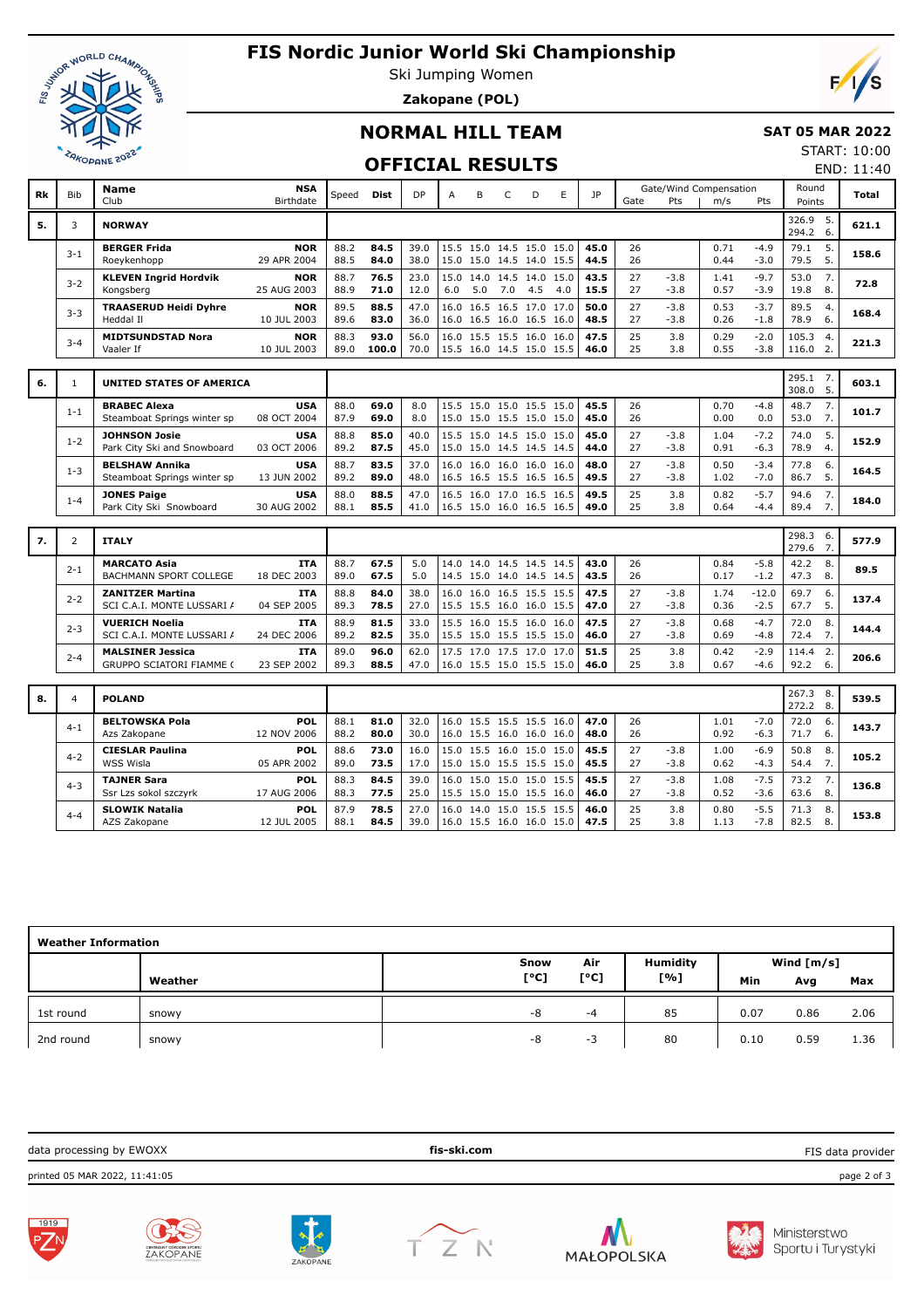

# **FIS Nordic Junior World Ski Championship**

Ski Jumping Women **Zakopane (POL)**



#### **SAT 05 MAR 2022**

## **OFFICIAL RESULTS**

START: 10:00 END: 11:40

 $F/1/s$ 

|    |                | <b>Name</b>                                           | <b>NSA</b>                |              |              |              |      |                                                 |                     |     |     |              |          |                  | Gate/Wind Compensation |                   | Round          |                |       |
|----|----------------|-------------------------------------------------------|---------------------------|--------------|--------------|--------------|------|-------------------------------------------------|---------------------|-----|-----|--------------|----------|------------------|------------------------|-------------------|----------------|----------------|-------|
| Rk | <b>Bib</b>     | Club                                                  | Birthdate                 | Speed        | <b>Dist</b>  | <b>DP</b>    | A    | B                                               | C                   | D   | E   | JP           | Gate     | Pts              | m/s                    | Pts               | Points         |                | Total |
|    |                |                                                       |                           |              |              |              |      |                                                 |                     |     |     |              |          |                  |                        |                   | 326.9 5.       |                |       |
| 5. | 3              | <b>NORWAY</b>                                         |                           |              |              |              |      |                                                 |                     |     |     |              |          |                  |                        |                   | 294.2          | 6.             | 621.1 |
|    |                | <b>BERGER Frida</b>                                   | <b>NOR</b>                | 88.2         | 84.5         | 39.0         |      | 15.5 15.0 14.5 15.0 15.0                        |                     |     |     | 45.0         | 26       |                  | 0.71                   | $-4.9$            | 79.1           | 5.             |       |
|    | $3 - 1$        | Roeykenhopp                                           | 29 APR 2004               | 88.5         | 84.0         | 38.0         |      | 15.0 15.0 14.5 14.0 15.5                        |                     |     |     | 44.5         | 26       |                  | 0.44                   | $-3.0$            | 79.5           | 5.             | 158.6 |
|    |                | <b>KLEVEN Ingrid Hordvik</b>                          | <b>NOR</b>                | 88.7         | 76.5         | 23.0         | 15.0 |                                                 | 14.0 14.5 14.0 15.0 |     |     | 43.5         | 27       | $-3.8$           | 1.41                   | $-9.7$            | 53.0           | 7.             |       |
|    | $3 - 2$        | Kongsberg                                             | 25 AUG 2003               | 88.9         | 71.0         | 12.0         | 6.0  | 5.0                                             | 7.0                 | 4.5 | 4.0 | 15.5         | 27       | $-3.8$           | 0.57                   | $-3.9$            | 19.8           | 8.             | 72.8  |
|    |                |                                                       |                           |              |              |              |      |                                                 |                     |     |     |              |          |                  |                        |                   |                |                |       |
|    | $3 - 3$        | <b>TRAASERUD Heidi Dyhre</b><br>Heddal II             | <b>NOR</b><br>10 JUL 2003 | 89.5<br>89.6 | 88.5<br>83.0 | 47.0<br>36.0 | 16.0 | 16.0 16.5 16.0 16.5 16.0                        | 16.5 16.5 17.0 17.0 |     |     | 50.0<br>48.5 | 27<br>27 | $-3.8$<br>$-3.8$ | 0.53<br>0.26           | $-3.7$<br>$-1.8$  | 89.5<br>78.9   | 4.<br>6.       | 168.4 |
|    |                |                                                       |                           |              |              |              |      |                                                 |                     |     |     |              |          |                  |                        |                   |                |                |       |
|    | $3 - 4$        | <b>MIDTSUNDSTAD Nora</b>                              | <b>NOR</b>                | 88.3         | 93.0         | 56.0         | 16.0 |                                                 | 15.5 15.5 16.0 16.0 |     |     | 47.5         | 25       | 3.8              | 0.29                   | $-2.0$            | 105.3          | $\overline{4}$ | 221.3 |
|    |                | Vaaler If                                             | 10 JUL 2003               | 89.0         | 100.0        | 70.0         |      | 15.5 16.0 14.5 15.0 15.5                        |                     |     |     | 46.0         | 25       | 3.8              | 0.55                   | $-3.8$            | 116.0          | 2.             |       |
|    |                |                                                       |                           |              |              |              |      |                                                 |                     |     |     |              |          |                  |                        |                   |                |                |       |
| 6. | $\mathbf{1}$   | <b>UNITED STATES OF AMERICA</b>                       |                           |              |              |              |      |                                                 |                     |     |     |              |          |                  |                        |                   | 295.1<br>308.0 | 7.<br>5.       | 603.1 |
|    |                | <b>BRABEC Alexa</b>                                   | <b>USA</b>                | 88.0         | 69.0         | 8.0          |      | 15.5 15.0 15.0 15.5 15.0                        |                     |     |     | 45.5         | 26       |                  | 0.70                   | $-4.8$            | 48.7           | 7.             |       |
|    | $1 - 1$        | Steamboat Springs winter sp                           | 08 OCT 2004               | 87.9         | 69.0         | 8.0          |      | 15.0 15.0 15.5 15.0 15.0                        |                     |     |     | 45.0         | 26       |                  | 0.00                   | 0.0               | 53.0           | 7.             | 101.7 |
|    |                |                                                       |                           |              |              |              |      |                                                 |                     |     |     |              |          |                  |                        |                   |                |                |       |
|    | $1 - 2$        | <b>JOHNSON Josie</b>                                  | <b>USA</b><br>03 OCT 2006 | 88.8<br>89.2 | 85.0<br>87.5 | 40.0<br>45.0 | 15.5 | 15.0 14.5 15.0 15.0<br>15.0 15.0 14.5 14.5 14.5 |                     |     |     | 45.0<br>44.0 | 27<br>27 | $-3.8$<br>$-3.8$ | 1.04<br>0.91           | $-7.2$<br>$-6.3$  | 74.0<br>78.9   | 5.<br>4.       | 152.9 |
|    |                | Park City Ski and Snowboard                           |                           |              |              |              |      |                                                 |                     |     |     |              |          |                  |                        |                   |                |                |       |
|    | $1 - 3$        | <b>BELSHAW Annika</b>                                 | <b>USA</b>                | 88.7         | 83.5         | 37.0         |      | 16.0 16.0 16.0 16.0 16.0                        |                     |     |     | 48.0         | 27       | $-3.8$           | 0.50                   | $-3.4$            | 77.8           | 6.             | 164.5 |
|    |                | Steamboat Springs winter sp                           | 13 JUN 2002               | 89.2         | 89.0         | 48.0         |      | 16.5 16.5 15.5 16.5 16.5                        |                     |     |     | 49.5         | 27       | $-3.8$           | 1.02                   | $-7.0$            | 86.7           | 5.             |       |
|    | $1 - 4$        | <b>JONES Paige</b>                                    | <b>USA</b>                | 88.0         | 88.5         | 47.0         | 16.5 |                                                 | 16.0 17.0 16.5 16.5 |     |     | 49.5         | 25       | 3.8              | 0.82                   | $-5.7$            | 94.6           | 7.             | 184.0 |
|    |                | Park City Ski Snowboard                               | 30 AUG 2002               | 88.1         | 85.5         | 41.0         |      | 16.5 15.0 16.0 16.5 16.5                        |                     |     |     | 49.0         | 25       | 3.8              | 0.64                   | $-4.4$            | 89.4           | 7.             |       |
|    |                |                                                       |                           |              |              |              |      |                                                 |                     |     |     |              |          |                  |                        |                   |                |                |       |
| 7. | $\overline{2}$ | <b>ITALY</b>                                          |                           |              |              |              |      |                                                 |                     |     |     |              |          |                  |                        |                   | 298.3<br>279.6 | - 6.<br>7.     | 577.9 |
|    |                |                                                       |                           |              |              |              |      |                                                 |                     |     |     |              |          |                  |                        |                   |                |                |       |
|    | $2 - 1$        | <b>MARCATO Asia</b><br>BACHMANN SPORT COLLEGE         | <b>ITA</b><br>18 DEC 2003 | 88.7<br>89.0 | 67.5<br>67.5 | 5.0<br>5.0   | 14.0 | 14.5 15.0 14.0 14.5 14.5                        | 14.0 14.5 14.5 14.5 |     |     | 43.0<br>43.5 | 26<br>26 |                  | 0.84<br>0.17           | $-5.8$<br>$-1.2$  | 42.2<br>47.3   | 8.<br>8.       | 89.5  |
|    |                |                                                       |                           |              |              |              |      |                                                 |                     |     |     |              |          |                  |                        |                   |                |                |       |
|    | $2 - 2$        | <b>ZANITZER Martina</b><br>SCI C.A.I. MONTE LUSSARI / | <b>ITA</b><br>04 SEP 2005 | 88.8<br>89.3 | 84.0<br>78.5 | 38.0<br>27.0 | 16.0 | 15.5 15.5 16.0 16.0 15.5                        | 16.0 16.5 15.5 15.5 |     |     | 47.5<br>47.0 | 27<br>27 | $-3.8$           | 1.74<br>0.36           | $-12.0$<br>$-2.5$ | 69.7<br>67.7   | 6.<br>5.       | 137.4 |
|    |                |                                                       |                           |              |              |              |      |                                                 |                     |     |     |              |          | $-3.8$           |                        |                   |                |                |       |
|    | $2 - 3$        | <b>VUERICH Noelia</b>                                 | <b>ITA</b>                | 88.9         | 81.5         | 33.0         |      | 15.5 16.0 15.5 16.0 16.0                        |                     |     |     | 47.5         | 27       | $-3.8$           | 0.68                   | $-4.7$            | 72.0           | 8.             | 144.4 |
|    |                | SCI C.A.I. MONTE LUSSARI /                            | 24 DEC 2006               | 89.2         | 82.5         | 35.0         |      | 15.5 15.0 15.5 15.5 15.0                        |                     |     |     | 46.0         | 27       | $-3.8$           | 0.69                   | $-4.8$            | 72.4           | 7.             |       |
|    | $2 - 4$        | <b>MALSINER Jessica</b>                               | <b>ITA</b>                | 89.0         | 96.0         | 62.0         |      | 17.5 17.0 17.5 17.0 17.0                        |                     |     |     | 51.5         | 25       | 3.8              | 0.42                   | $-2.9$            | 114.4          | 2.             | 206.6 |
|    |                | GRUPPO SCIATORI FIAMME (                              | 23 SEP 2002               | 89.3         | 88.5         | 47.0         |      | 16.0 15.5 15.0 15.5 15.0                        |                     |     |     | 46.0         | 25       | 3.8              | 0.67                   | $-4.6$            | 92.2           | 6.             |       |
|    |                |                                                       |                           |              |              |              |      |                                                 |                     |     |     |              |          |                  |                        |                   |                |                |       |
| 8. | 4              | <b>POLAND</b>                                         |                           |              |              |              |      |                                                 |                     |     |     |              |          |                  |                        |                   | 267.3          | - 8.           | 539.5 |
|    |                |                                                       |                           |              |              |              |      |                                                 |                     |     |     |              |          |                  |                        |                   | 272.2          | 8.             |       |
|    | $4 - 1$        | <b>BELTOWSKA Pola</b>                                 | <b>POL</b><br>12 NOV 2006 | 88.1<br>88.2 | 81.0<br>80.0 | 32.0         |      | 16.0 15.5 15.5 15.5 16.0                        |                     |     |     | 47.0<br>48.0 | 26<br>26 |                  | 1.01<br>0.92           | $-7.0$            | 72.0<br>71.7   | 6.<br>6.       | 143.7 |
|    |                | Azs Zakopane                                          |                           |              |              | 30.0         |      | 16.0 15.5 16.0 16.0 16.0                        |                     |     |     |              |          |                  |                        | $-6.3$            |                |                |       |
|    | $4 - 2$        | <b>CIESLAR Paulina</b>                                | POL                       | 88.6         | 73.0         | 16.0         | 15.0 |                                                 | 15.5 16.0 15.0 15.0 |     |     | 45.5         | 27       | $-3.8$           | 1.00                   | $-6.9$            | 50.8           | 8.             | 105.2 |
|    |                | WSS Wisla                                             | 05 APR 2002               | 89.0         | 73.5         | 17.0         |      | 15.0 15.0 15.5 15.5 15.0                        |                     |     |     | 45.5         | 27       | $-3.8$           | 0.62                   | $-4.3$            | 54.4           | 7.             |       |
|    | $4 - 3$        | <b>TAJNER Sara</b>                                    | POL                       | 88.3         | 84.5         | 39.0         | 16.0 |                                                 | 15.0 15.0 15.0 15.5 |     |     | 45.5         | 27       | $-3.8$           | 1.08                   | $-7.5$            | 73.2           | 7.             | 136.8 |
|    |                | Ssr Lzs sokol szczyrk                                 | 17 AUG 2006               | 88.3         | 77.5         | 25.0         |      | 15.5 15.0 15.0 15.5 16.0                        |                     |     |     | 46.0         | 27       | $-3.8$           | 0.52                   | $-3.6$            | 63.6           | 8.             |       |
|    |                | <b>SLOWIK Natalia</b>                                 | POL                       | 87.9         | 78.5         | 27.0         | 16.0 |                                                 | 14.0 15.0 15.5 15.5 |     |     | 46.0         | 25       | 3.8              | 0.80                   | $-5.5$            | 71.3           | 8.             | 153.8 |
|    | $4 - 4$        | AZS Zakopane                                          | 12 JUL 2005               | 88.1         | 84.5         | 39.0         |      | 16.0 15.5 16.0 16.0 15.0                        |                     |     |     | 47.5         | 25       | 3.8              | 1.13                   | $-7.8$            | 82.5           | 8.             |       |

|           | <b>Weather Information</b> |      |      |                 |      |              |      |  |  |  |  |  |  |  |  |
|-----------|----------------------------|------|------|-----------------|------|--------------|------|--|--|--|--|--|--|--|--|
|           |                            | Snow | Air  | <b>Humidity</b> |      | Wind $[m/s]$ |      |  |  |  |  |  |  |  |  |
|           | Weather                    | [°C] | [°C] | [%]             | Min  | Avg          | Max  |  |  |  |  |  |  |  |  |
| 1st round | snowy                      | -8   | -4   | 85              | 0.07 | 0.86         | 2.06 |  |  |  |  |  |  |  |  |
| 2nd round | snowy                      | -8   | -3   | 80              | 0.10 | 0.59         | 1.36 |  |  |  |  |  |  |  |  |

| data processing by EWOXX      | fis-ski.com | FIS data provider |
|-------------------------------|-------------|-------------------|
| printed 05 MAR 2022, 11:41:05 |             | page 2 of 3       |
| $\sim$ $\sim$<br>______       |             |                   |